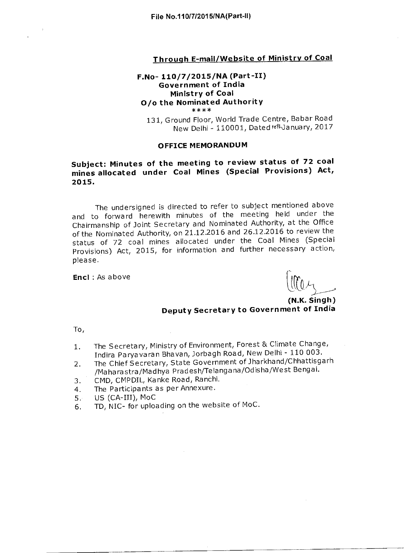#### **Through E-mail/Website of Ministry of Coal**

#### **F.No- 110/7/2015/NA (Part-II) Government of India Ministry of Coal 0/o the Nominated Authority**  \*\*\*\*

131, Ground Floor, World Trade Centre, Babar Road New Delhi - 110001, Dated fel-January, 2017

#### **OFFICE MEMORANDUM**

### **Subject: Minutes of the meeting to review status of 72 coal mines allocated under Coal Mines (Special Provisions) Act, 2015.**

The undersigned is directed to refer to subject mentioned above and to forward herewith minutes of the meeting held under the Chairmanship of Joint Secretary and Nominated Authority, at the Office of the Nominated Authority, on 21.12.2016 and 26.12.2016 to review the status of 72 coal mines allocated under the Coal Mines (Special Provisions) Act, 2015, for information and further necessary action, please.

**Encl :** As above

**(N.K. Singh) Deputy Secretary to Government of India** 

To,

- 1. The Secretary, Ministry of Environment, Forest & Climate Change, Indira Paryavaran Bhavan, Jorbagh Road, New Delhi - 110 003.
- 2. The Chief Secretary, State Government of Jharkhand/Chhattisgarh /Maharastra/Madhya Pradesh/Telangana/Odisha/West Bengal.
- 3. CMD, CMPDIL, Kanke Road, Ranchi.
- 4. The Participants as per Annexure.
- $5.$  US (CA-III), MoC
- 6. TD, NIC- for uploading on the website of MoC.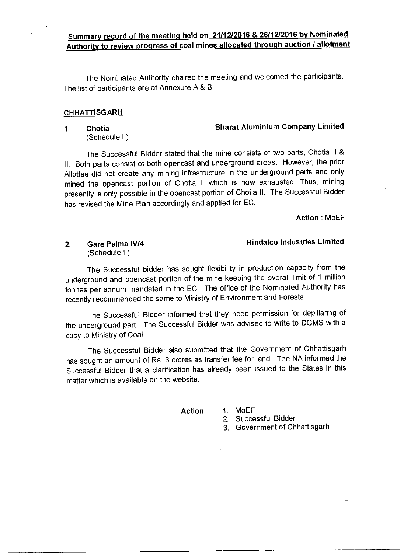### **Summary record of the meeting held on 21/12/2016 & 26/12/2016 by Nominated Authority to review progress of coal mines allocated through auction / allotment**

The Nominated Authority chaired the meeting and welcomed the participants. The list of participants are at Annexure A & B.

#### **CHHATTISGARH**

#### **1. Chotia Bharat Aluminium Company Limited**

(Schedule II)

The Successful Bidder stated that the mine consists of two parts, Chotia I & II. Both parts consist of both opencast and underground areas. However, the prior Allottee did not create any mining infrastructure in the underground parts and only mined the opencast portion of Chotia I, which is now exhausted. Thus, mining presently is only possible in the opencast portion of Chotia II. The Successful Bidder has revised the Mine Plan accordingly and applied for EC.

**Action :** MoEF

# (Schedule II)

#### **2. Gare Palma IV/4 Hindalco Industries Limited**

The Successful bidder has sought flexibility in production capacity from the underground and opencast portion of the mine keeping the overall limit of 1 million tonnes per annum mandated in the EC. The office of the Nominated Authority has recently recommended the same to Ministry of Environment and Forests.

The Successful Bidder informed that they need permission for depillaring of the underground part. The Successful Bidder was advised to write to DGMS with a copy to Ministry of Coal.

The Successful Bidder also submitted that the Government of Chhattisgarh has sought an amount of Rs. 3 crores as transfer fee for land. The NA informed the Successful Bidder that a clarification has already been issued to the States in this matter which is available on the website.

**Action:** 1. MoEF

2. Successful Bidder

3. Government of Chhattisgarh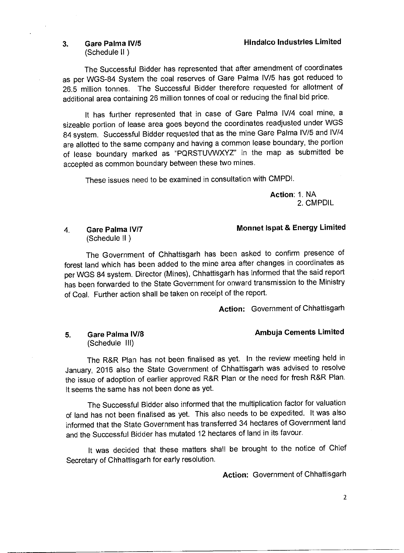(Schedule II )

The Successful Bidder has represented that after amendment of coordinates as per WGS-84 System the coal reserves of Gare Palma IV/5 has got reduced to 26.5 million tonnes. The Successful Bidder therefore requested for allotment of additional area containing 26 million tonnes of coal or reducing the final bid price.

It has further represented that in case of Gare Palma IV/4 coal mine, a sizeable portion of lease area goes beyond the coordinates readjusted under WGS 84 system. Successful Bidder requested that as the mine Gare Palma IV/5 and IV/4 are allotted to the same company and having a common lease boundary, the portion of lease boundary marked as "PQRSTUVWXYZ" in the map as submitted be accepted as common boundary between these two mines.

These issues need to be examined in consultation with CMPDI.

**Action:** 1. NA 2. CMPDIL

#### **4. Gare Palma IV/7 Monnet Ispat & Energy Limited**

(Schedule II )

The Government of Chhattisgarh has been asked to confirm presence of forest land which has been added to the mine area after changes in coordinates as per WGS 84 system. Director (Mines), Chhattisgarh has informed that the said report has been forwarded to the State Government for onward transmission to the Ministry of Coal. Further action shall be taken on receipt of the report.

Action: Government of Chhattisgarh

**5.** Gare Palma IV/8 *Ambuja Cements Limited* (Schedule III)

The R&R Plan has not been finalised as yet. In the review meeting held in January, 2016 also the State Government of Chhattisgarh was advised to resolve the issue of adoption of earlier approved R&R Plan or the need for fresh R&R Plan. It seems the same has not been done as yet.

The Successful Bidder also informed that the multiplication factor for valuation of land has not been finalised as yet. This also needs to be expedited. It was also informed that the State Government has transferred 34 hectares of Government land and the Successful Bidder has mutated 12 hectares of land in its favour.

It was decided that these matters shall be brought to the notice of Chief Secretary of Chhattisgarh for early resolution.

**Action:** Government of Chhattisgarh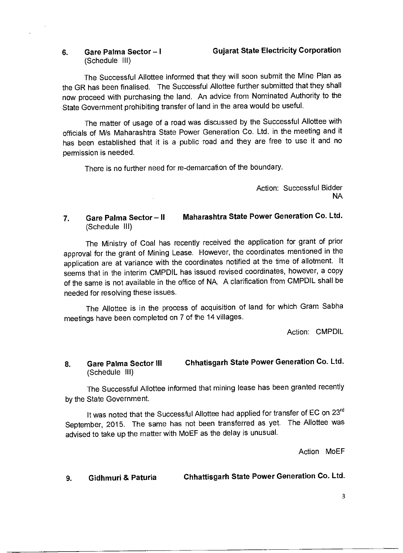# (Schedule III)

#### **6. Gare Palma Sector — I Gujarat State Electricity Corporation**

The Successful Allottee informed that they will soon submit the Mine Plan as the GR has been finalised. The Successful Allottee further submitted that they shall now proceed with purchasing the land. An advice from Nominated Authority to the State Government prohibiting transfer of land in the area would be useful.

The matter of usage of a road was discussed by the Successful Allottee with officials of M/s Maharashtra State Power Generation Co. Ltd. in the meeting and it has been established that it is a public road and they are free to use it and no permission is needed.

There is no further need for re-demarcation of the boundary.

Action: Successful Bidder NA

### **7. Gare Palma Sector — II Maharashtra State Power Generation Co. Ltd.**  (Schedule III)

The Ministry of Coal has recently received the application for grant of prior approval for the grant of Mining Lease. However, the coordinates mentioned in the application are at variance with the coordinates notified at the time of allotment. It seems that in the interim CMPDIL has issued revised coordinates, however, a copy of the same is not available in the office of NA. A clarification from CMPDIL shall be needed for resolving these issues.

The Allottee is in the process of acquisition of land for which Gram Sabha meetings have been completed on 7 of the 14 villages.

Action: CMPDIL

#### **8. Gare Palma Sector III Chhatisgarh State Power Generation Co. Ltd.**  (Schedule III)

The Successful Allottee informed that mining lease has been granted recently by the State Government.

It was noted that the Successful Allottee had applied for transfer of EC on 23rd September, 2015. The same has not been transferred as yet. The Allottee was advised to take up the matter with MoEF as the delay is unusual.

Action MoEF

**9. Gidhmuri & Paturia Chhattisgarh State Power Generation Co. Ltd.**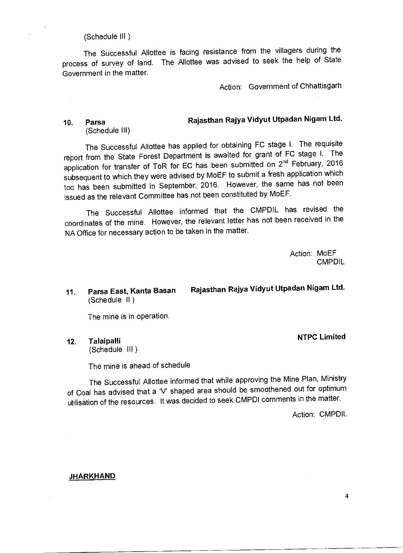(Schedule III )

The Successful Allottee is facing resistance from the villagers during the process of survey of land. The Allottee was advised to seek the help of State Government in the matter.

Action: Government of Chhattisgarh

#### **10. Parsa**  (Schedule III) **Rajasthan Rajya Vidyut Utpadan Nigam Ltd.**

The Successful Allottee has applied for obtaining FC stage **I.** The requisite report from the State Forest Department is awaited for grant of FC stage I. The application for transfer of ToR for EC has been submitted on 2<sup>nd</sup> February, 2016 subsequent to which they were advised by MoEF to submit a fresh application which too has been submitted in September, 2016. However, the same has not been issued as the relevant Committee has not been constituted by MoEF.

The Successful Allottee informed that the CMPDIL has revised the coordinates of the mine. However, the relevant letter has not been received in the NA Office for necessary action to be taken in the matter.

> Action: MoEF **CMPDIL**

### **11. Parsa East, Kanta Basan Rajasthan Rajya Vidyut Utpadan Nigam Ltd.**  (Schedule II )

The mine is in operation.

**12. Talaipalli NTPC Limited**  (Schedule III )

The mine is ahead of schedule

The Successful Allottee informed that while approving the Mine Plan, Ministry of Coal has advised that a 'V' shaped area should be smoothened out for optimum utilisation of the resources. It was decided to seek CMPDI comments in the matter.

Action: CMPDIL

#### **JHARKHAND**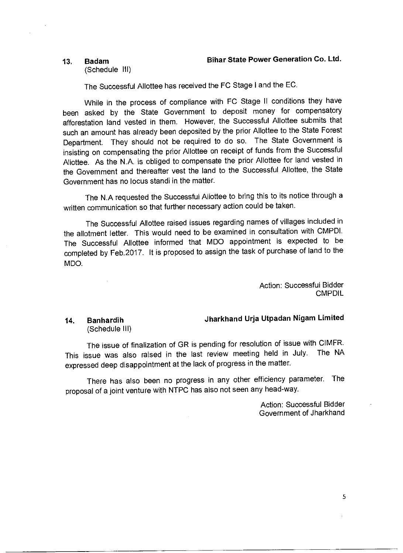(Schedule III)

The Successful Allottee has received the FC Stage **I** and the EC.

While in the process of compliance with FC Stage II conditions they have been asked by the State Government to deposit money for compensatory afforestation land vested in them. However, the Successful Allottee submits that such an amount has already been deposited by the prior Allottee to the State Forest Department. They should not be required to do so. The State Government is insisting on compensating the prior Allottee on receipt of funds from the Successful Allottee. As the N.A. is obliged to compensate the prior Allottee for land vested in the Government and thereafter vest the land to the Successful Allottee, the State Government has no locus standi in the matter.

The N.A requested the Successful Allottee to bring this to its notice through a written communication so that further necessary action could be taken.

The Successful Allottee raised issues regarding names of villages included in the allotment letter. This would need to be examined in consultation with CMPDI. The Successful Allottee informed that MDO appointment is expected to be completed by Feb.2017. It is proposed to assign the task of purchase of land to the MDO.

> Action: Successful Bidder **CMPDIL**

# (Schedule III)

### **14. Banhardih Jharkhand Urja Utpadan Nigam Limited**

The issue of finalization of GR is pending for resolution of issue with CIMFR. This issue was also raised in the last review meeting held in July. The NA expressed deep disappointment at the lack of progress in the matter.

There has also been no progress in any other efficiency parameter. The proposal of a joint venture with NTPC has also not seen any head-way.

> Action: Successful Bidder Government of Jharkhand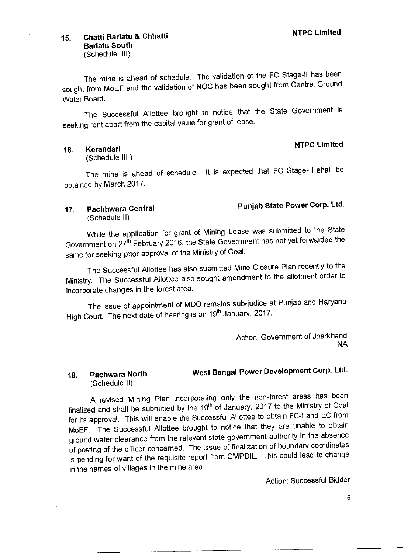## **15. Chatti Bariatu & Chhatti NTPC Limited Bariatu South**

(Schedule Ill)

The mine is ahead of schedule. The validation of the FC Stage-II has been sought from MoEF and the validation of NOC has been sought from Central Ground Water Board.

The Successful Allottee brought to notice that the State Government is seeking rent apart from the capital value for grant of lease.

## **16. Kerandari NTPC Limited**

(Schedule Ill )

The mine is ahead of schedule. It is expected that FC Stage-II shall be obtained by March 2017.

### **17. Pachhwara Central Punjab State Power Corp. Ltd.**  (Schedule II)

Government on 27th February 2016, the State Government has not yet forwarded the While the application for grant of Mining Lease was submitted to the State same for seeking prior approval of the Ministry of Coal.

The Successful Allottee has also submitted Mine Closure Plan recently to the Ministry. The Successful Allottee also sought amendment to the allotment order to incorporate changes in the forest area.

The issue of appointment of MDO remains sub-judice at Punjab and Haryana High Court. The next date of hearing is on 19<sup>th</sup> January, 2017.

> Action: Government of Jharkhand NA

### **18. Pachwara North West Bengal Power Development Corp. Ltd.**  (Schedule II)

finalized and shall be submitted by the  $10<sup>th</sup>$  of January, 2017 to the Ministry of Coal for its approval. This will enable the Successful Allottee to obtain FC-I and EC from MoEF. The Successful Allottee brought to notice that they are unable to obtain ground water clearance from the relevant state government authority in the absence of posting of the officer concerned. The issue of finalization of boundary coordinates is pending for want of the requisite report from CMPDIL. This could lead to change A revised Mining Plan incorporating only the non-forest areas has been in the names of villages in the mine area.

Action: Successful Bidder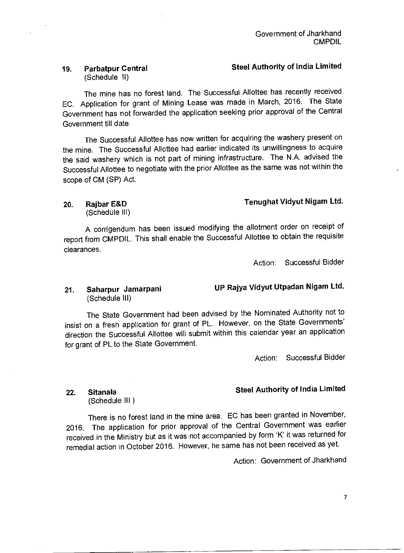### **19. Parbatpur Central Steel Authority of India Limited**  (Schedule II)

The mine has no forest land. The Successful Allottee has recently received EC. Application for grant of Mining Lease was made in March, 2016. The State Government has not forwarded the application seeking prior approval of the Central Government till date.

The Successful Allottee has now written for acquiring the washery present on the mine. The Successful Allottee had earlier indicated its unwillingness to acquire the said washery which is not part of mining infrastructure. The N.A. advised the Successful Allottee to negotiate with the prior Allottee as the same was not within the scope of CM (SP) Act.

## **20. Rajbar E&D**

#### **Tenughat Vidyut Nigam Ltd.**

(Schedule III)

A corrigendum has been issued modifying the allotment order on receipt of report from CMPDIL. This shall enable the Successful Allottee to obtain the requisite clearances.

Action: Successful Bidder

**UP Rajya Vidyut Utpadan Nigam Ltd.** 

#### **21. Saharpur Jamarpani**  (Schedule III)

The State Government had been advised by the Nominated Authority not to insist on a fresh application for grant of PL. However, on the State Governments' direction the Successful Allottee will submit within this calendar year an application for grant of PL to the State Government.

Action: Successful Bidder

### **Steel Authority of India Limited**

**22. Sitanala**  (Schedule **III )** 

There is no forest land in the mine area. EC has been granted in November, 2016. The application for prior approval of the Central Government was earlier received in the Ministry but as it was not accompanied by form 'K' it was returned for remedial action in October 2016. However, he same has not been received as yet.

Action: Government of Jharkhand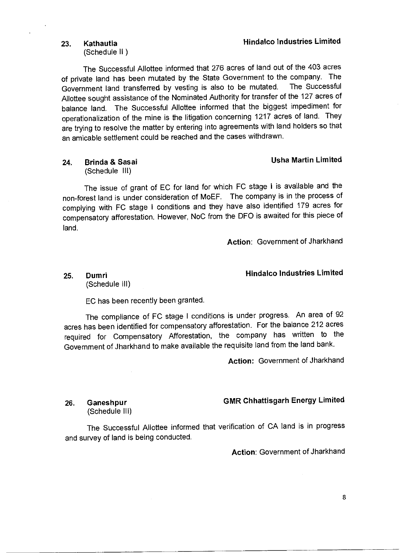### **23. Kathautia Hindalco Industries Limited**

(Schedule II )

The Successful Allottee informed that 276 acres of land out of the 403 acres of private land has been mutated by the State Government to the company. The Government land transferred by vesting is also to be mutated. The Successful Allottee sought assistance of the Nominated Authority for transfer of the 127 acres of balance land. The Successful Allottee informed that the biggest impediment for operationalization of the mine is the litigation concerning 1217 acres of land. They are trying to resolve the matter by entering into agreements with land holders so that an amicable settlement could be reached and the cases withdrawn.

## **24. Brinda & Sasai Usha Martin Limited**

(Schedule Ill)

The issue of grant of EC for land for which FC stage **I** is available and the non-forest land is under consideration of MoEF. The company is in the process of complying with FC stage **I** conditions and they have also identified 179 acres for compensatory afforestation. However, NoC from the DFO is awaited for this piece of land.

**Action:** Government of Jharkhand

### **25. Dumri Hindalco Industries Limited**

(Schedule Ill)

EC has been recently been granted.

The compliance of FC stage I conditions is under progress. An area of 92 acres has been identified for compensatory afforestation. For the balance 212 acres required for Compensatory Afforestation, the company has written to the Government of Jharkhand to make available the requisite land from the land bank.

**Action:** Government of Jharkhand

(Schedule Ill)

### **26. Ganeshpur GMR Chhattisgarh Energy Limited**

The Successful Allottee informed that verification of CA land is in progress and survey of land is being conducted.

**Action:** Government of Jharkhand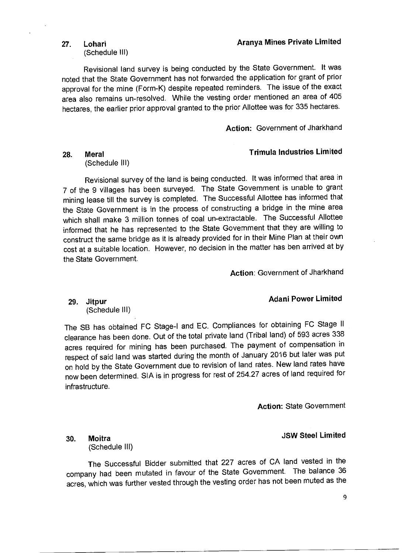### 27. Lohari **Aranya Mines Private Limited Aranya Mines Private Limited**

(Schedule III)

Revisional land survey is being conducted by the State Government. It was noted that the State Government has not forwarded the application for grant of prior approval for the mine (Form-K) despite repeated reminders. The issue of the exact area also remains un-resolved. While the vesting order mentioned an area of 405 hectares, the earlier prior approval granted to the prior Allottee was for 335 hectares.

**Action:** Government of Jharkhand

#### **28. Meral Trimula Industries Limited**

(Schedule III)

Revisional survey of the land is being conducted. It was informed that area in 7 of the 9 villages has been surveyed. The State Government is unable to grant mining lease till the survey is completed. The Successful Allottee has informed that the State Government is in the process of constructing a bridge in the mine area which shall make 3 million tonnes of coal un-extractable. The Successful Allottee informed that he has represented to the State Government that they are willing to construct the same bridge as it is already provided for in their Mine Plan at their own cost at a suitable location. However, no decision in the matter has ben arrived at by the State Government.

**Action:** Government of Jharkhand

### **29. Jitpur Adani Power Limited**

(Schedule III)

The SB has obtained FC Stage-I and EC. Compliances for obtaining FC Stage II clearance has been done. Out of the total private land (Tribal land) of 593 acres 338 acres required for mining has been purchased. The payment of compensation in respect of said land was started during the month of January 2016 but later was put on hold by the State Government due to revision of land rates. New land rates have now been determined. SIA is in progress for rest of 254.27 acres of land required for infrastructure.

**Action:** State Government

**JSW Steel Limited** 

**30. Moitra**  (Schedule III)

The Successful Bidder submitted that 227 acres of CA land vested in the company had been mutated in favour of the State Government. The balance 36 acres, which was further vested through the vesting order has not been muted as the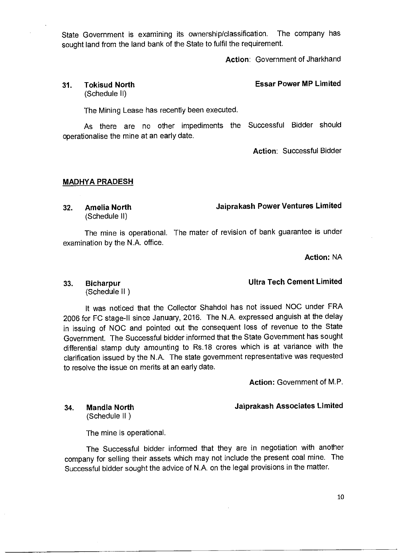State Government is examining its ownership/classification. The company has sought land from the land bank of the State to fulfil the requirement.

**Action:** Government of Jharkhand

#### **31. Tokisud North Essar Power MP Limited**  (Schedule II)

The Mining Lease has recently been executed.

As there are no other impediments the Successful Bidder should operationalise the mine at an early date.

**Action:** Successful Bidder

#### **MADHYA PRADESH**

**32. Amelia North Jaiprakash Power Ventures Limited**  (Schedule II)

The mine is operational. The mater of revision of bank guarantee is under examination by the N.A. office.

**Action:** NA

(Schedule II )

It was noticed that the Collector Shandol has not issued NOC under FRA 2006 for FC stage-II since January, 2016. The N.A. expressed anguish at the delay in issuing of NOC and pointed out the consequent loss of revenue to the State Government. The Successful bidder informed that the State Government has sought differential stamp duty amounting to Rs.18 crores which is at variance with the clarification issued by the N.A. The state government representative was requested to resolve the issue on merits at an early date.

**Action:** Government of M.P.

**34. Mandla North Jaiprakash Associates Limited** 

(Schedule II )

The mine is operational.

The Successful bidder informed that they are in negotiation with another company for selling their assets which may not include the present coal mine. The Successful bidder sought the advice of N.A. on the legal provisions in the matter.

### **33. Bicharpur Ultra Tech Cement Limited**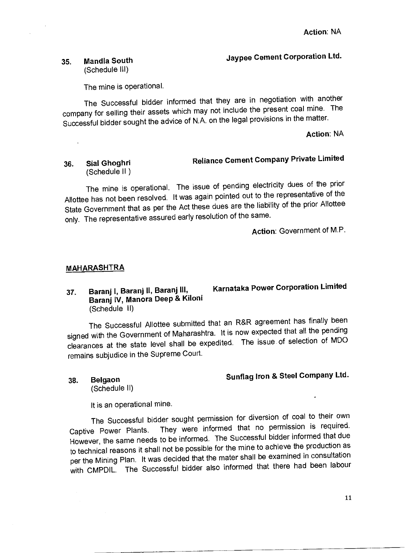## **35. Mandla South Jaypee Cement Corporation Ltd.**

(Schedule III)

The mine is operational.

The Successful bidder informed that they are in negotiation with another company for selling their assets which may not include the present coal mine. The Successful bidder sought the advice of N.A. on the legal provisions in the matter.

### **Action:** NA

#### **36. Sial Ghoghri**  (Schedule II ) **Reliance Cement Company Private Limited**

The mine is operational. The issue of pending electricity dues of the prior Allottee has not been resolved. It was again pointed out to the representative of the State Government that as per the Act these dues are the liability of the prior Allottee only. The representative assured early resolution of the same.

**Action:** Government of M.P.

#### **MAHARASHTRA**

#### **37. Baranj I, Baranj II, Baranj III, Baranj IV, Manora Deep & Kiloni**  (Schedule II)

# **Karnataka Power Corporation Limited**

The Successful Allottee submitted that an R&R agreement has finally been signed with the Government of Maharashtra. It is now expected that all the pending clearances at the state level shall be expedited. The issue of selection of MDO remains subjudice in the Supreme Court.

## **38. Belgaon Sunflag Iron & Steel Company Ltd.**

(Schedule II)

It is an operational mine.

The Successful bidder sought permission for diversion of coal to their own Captive Power Plants. They were informed that no permission is required. However, the same needs to be informed. The Successful bidder informed that due to technical reasons it shall not be possible for the mine to achieve the production as per the Mining Plan. It was decided that the mater shall be examined in consultation with CMPDIL. The Successful bidder also informed that there had been labour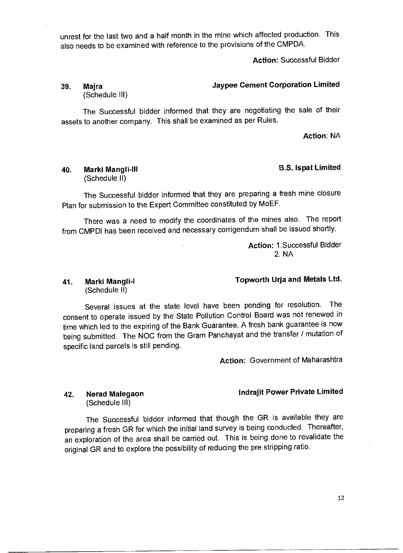unrest for the last two and a half month in the mine which affected production. This also needs to be examined with reference to the provisions of the CMPDA.

**Action:** Successful Bidder

### **39. Majra Jaypee Cement Corporation Limited**  (Schedule III)

The Successful bidder informed that they are negotiating the sale of their assets to another company. This shall be examined as per Rules.

**Action:** NA

### **40. Marki Mangli-Ill B.S. !spat Limited**

(Schedule II)

The Successful bidder informed that they are preparing a fresh mine closure Plan for submission to the Expert Committee constituted by MoEF.

There was a need to modify the coordinates of the mines also. The report from CMPDI has been received and necessary corrigendum shall be issued shortly.

> **Action:** 1.Successful Bidder 2. NA

# (Schedule II)

### **41. Marki Mangli-I Topworth Urja and Metals Ltd.**

Several issues at the state level have been pending for resolution. The consent to operate issued by the State Pollution Control Board was not renewed in time which led to the expiring of the Bank Guarantee. A fresh bank guarantee is now being submitted. The NOC from the Gram Panchayat and the transfer / mutation of specific land parcels is still pending.

**Action:** Government of Maharashtra

#### **Indrajit Power Private Limited**

**42. Nerad Malegaon**  (Schedule III)

The Successful bidder informed that though the GR is available they are preparing a fresh GR for which the initial land survey is being conducted. Thereafter, an exploration of the area shall be carried out. This is being done to revalidate the original GR and to explore the possibility of reducing the pre stripping ratio.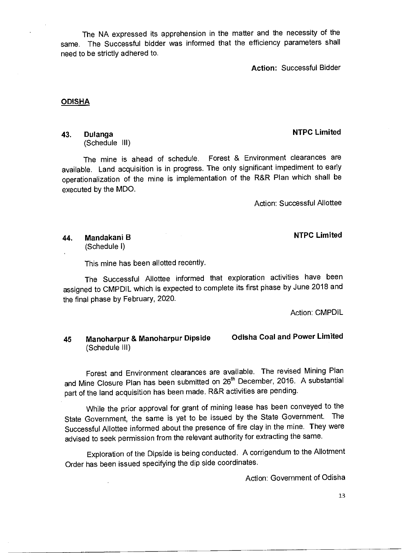The NA expressed its apprehension in the matter and the necessity of the same. The Successful bidder was informed that the efficiency parameters shall need to be strictly adhered to.

**Action:** Successful Bidder

#### **ODISHA**

(Schedule III)

The mine is ahead of schedule. Forest & Environment clearances are available. Land acquisition is in progress. The only significant impediment to early operationalization of the mine is implementation of the R&R Plan which shall be executed by the MDO.

Action: Successful Allottee

**44. Mandakani B NTPC Limited**  (Schedule I)

This mine has been allotted recently.

The Successful Allottee informed that exploration activities have been assigned to CMPDIL which is expected to complete its first phase by June 2018 and the final phase by February, 2020.

Action: CMPDIL

### **45 Manoharpur & Manoharpur Dipside Odisha Coal and Power Limited**  (Schedule III)

Forest and Environment clearances are available. The revised Mining Plan and Mine Closure Plan has been submitted on 26<sup>th</sup> December, 2016. A substantial part of the land acquisition has been made. R&R activities are pending.

While the prior approval for grant of mining lease has been conveyed to the State Government, the same is yet to be issued by the State Government. The Successful Allottee informed about the presence of fire clay in the mine. They were advised to seek permission from the relevant authority for extracting the same.

Exploration of the Dipside is being conducted. A corrigendum to the Allotment Order has been issued specifying the dip side coordinates.

Action: Government of Odisha

13

### **43. Dulanga NTPC Limited**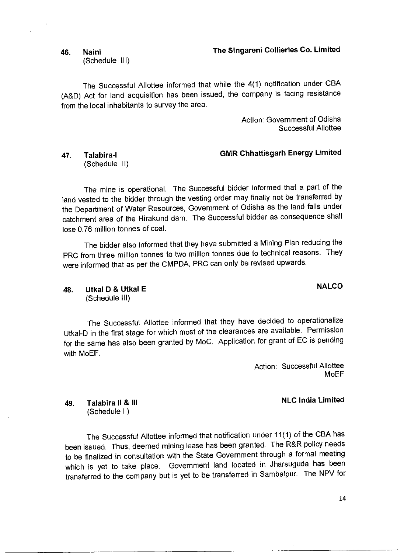#### **46. Naini The Singareni Collieries Co. Limited**

(Schedule Ill)

The Successful Allottee informed that while the 4(1) notification under CBA (A&D) Act for land acquisition has been issued, the company is facing resistance from the local inhabitants to survey the area.

> Action: Government of Odisha Successful Allottee

#### **47. Talabira-I GMR Chhattisgarh Energy Limited**  (Schedule II)

The mine is operational. The Successful bidder informed that a part of the land vested to the bidder through the vesting order may finally not be transferred by the Department of Water Resources, Government of Odisha as the land falls under catchment area of the Hirakund dam. The Successful bidder as consequence shall lose 0.76 million tonnes of coal.

The bidder also informed that they have submitted a Mining Plan reducing the PRC from three million tonnes to two million tonnes due to technical reasons. They were informed that as per the CMPDA, PRC can only be revised upwards.

**48. Utkal D & Utkal E NALCO**  (Schedule Ill)

The Successful Allottee informed that they have decided to operationalize Utkal-D in the first stage for which most of the clearances are available. Permission for the same has also been granted by MoC. Application for grant of EC is pending with MoEF.

> Action: Successful Allottee MoEF

**49. Talabira II & Ill NLC India Limited** 

(Schedule I )

The Successful Allottee informed that notification under 11(1) of the CBA has been issued. Thus, deemed mining lease has been granted. The R&R policy needs to be finalized in consultation with the State Government through a formal meeting which is yet to take place. Government land located in Jharsuguda has been transferred to the company but is yet to be transferred in Sambalpur. The NPV for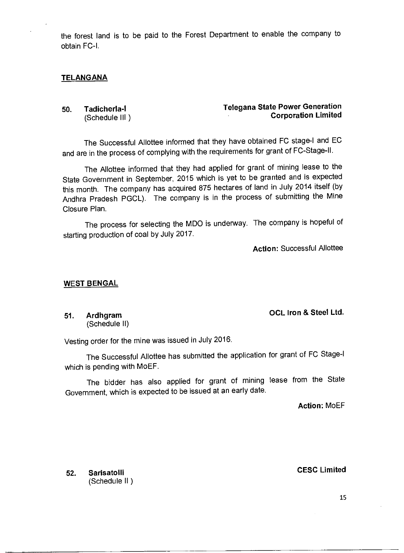the forest land is to be paid to the Forest Department to enable the company to obtain FC-I.

#### **TELANGANA**

**50. Tadicherla-1 Telegana State Power Generation**  (Schedule III ) **Corporation Limited** 

The Successful Allottee informed that they have obtained FC stage-I and EC and are in the process of complying with the requirements for grant of FC-Stage-II.

The Allottee informed that they had applied for grant of mining lease to the State Government in September, 2015 which is yet to be granted and is expected this month. The company has acquired 875 hectares of land in July 2014 itself (by Andhra Pradesh PGCL). The company is in the process of submitting the Mine Closure Plan.

The process for selecting the MDO is underway. The company is hopeful of starting production of coal by July 2017.

**Action:** Successful Allottee

#### **WEST BENGAL**

**51. Ardhgram OCL Iron & Steel Ltd.**  (Schedule II)

Vesting order for the mine was issued in July 2016.

The Successful Allottee has submitted the application for grant of FC Stage-I which is pending with MoEF.

The bidder has also applied for grant of mining lease from the State Government, which is expected to be issued at an early date.

**Action:** MoEF

**52. Sarisatolli CESC Limited**  (Schedule II )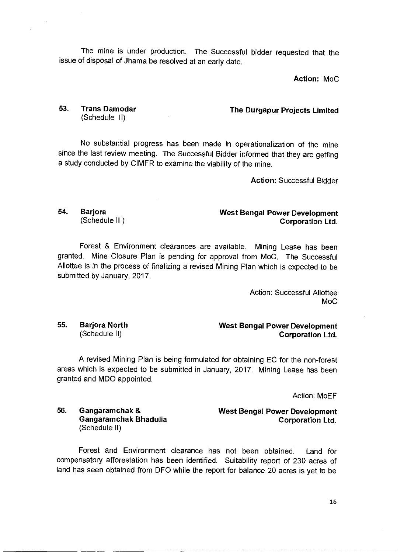The mine is under production. The Successful bidder requested that the issue of disposal of Jhama be resolved at an early date.

**Action: MoC** 

# (Schedule II)

**53. Trans Damodar The Durgapur Projects Limited** 

No substantial progress has been made in operationalization of the mine since the last review meeting. The Successful Bidder informed that they are getting a study conducted by CIMFR to examine the viability of the mine.

**Action:** Successful Bidder

### **54.** Barjora **Mest Bengal Power Development West Bengal Power Development** (Schedule II) **Corporation Ltd.**

Forest & Environment clearances are available. Mining Lease has been granted. Mine Closure Plan is pending for approval from MoC. The Successful Allottee is in the process of finalizing a revised Mining Plan which is expected to be submitted by January, 2017.

> Action: Successful Allottee MoC

**55. Barjora North West Bengal Power Development**  (Schedule II) **Corporation Ltd.** 

A revised Mining Plan is being formulated for obtaining EC for the non-forest areas which is expected to be submitted in January, 2017. Mining Lease has been granted and MDO appointed.

Action: MoEF

#### **56. Gangaramchak & West Bengal Power Development Gangaramchak Bhadulia** Corporation Ltd. (Schedule II)

Forest and Environment clearance has not been obtained. Land for compensatory afforestation has been identified. Suitability report of 230 acres of land has seen obtained from DFO while the report for balance 20 acres is yet to be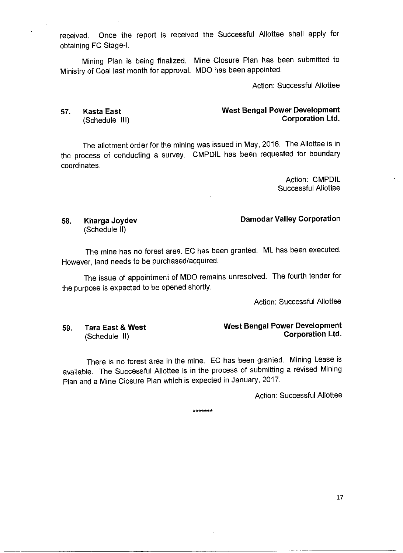received. Once the report is received the Successful Allottee shall apply for obtaining FC Stage-I.

Mining Plan is being finalized. Mine Closure Plan has been submitted to Ministry of Coal last month for approval. MDO has been appointed.

Action: Successful Allottee

#### **57. Kasta East West Bengal Power Development**  (Schedule **III) Corporation Ltd.**

The allotment order for the mining was issued in May, 2016. The Allottee is in the process of conducting a survey. CMPDIL has been requested for boundary coordinates.

> Action: CMPDIL Successful Allottee

### **58. Kharga Joydev Damodar Valley Corporation**

(Schedule II)

The mine has no forest area. EC has been granted. ML has been executed. However, land needs to be purchased/acquired.

The issue of appointment of MDO remains unresolved. The fourth tender for the purpose is expected to be opened shortly.

Action: Successful Allottee

### **59. Tara East & West West Bengal Power Development**  (Schedule II) **Corporation Ltd.**

There is no forest area in the mine. EC has been granted. Mining Lease is available. The Successful Allottee is in the process of submitting a revised Mining Plan and a Mine Closure Plan which is expected in January, 2017.

Action: Successful Allottee

\*\*\*\*\*\*\*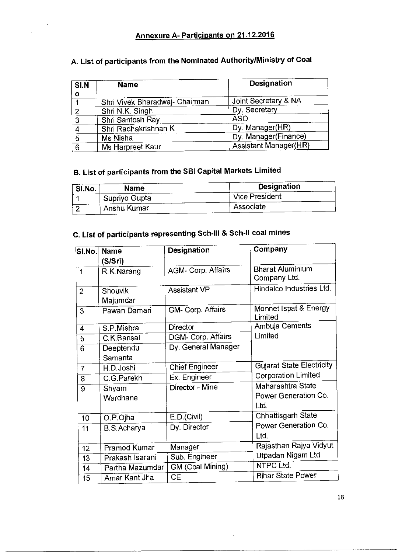### **Annexure A- Participants on 21.12.2016**

| SI.N           | <b>Name</b>                    | Designation           |
|----------------|--------------------------------|-----------------------|
| $\mathbf{o}$   |                                |                       |
|                | Shri Vivek Bharadwaj- Chairman | Joint Secretary & NA  |
| $\overline{2}$ | Shri N.K. Singh                | Dy. Secretary         |
| 3              | Shri Santosh Ray               | <b>ASO</b>            |
| 4              | Shri Radhakrishnan K           | Dy. Manager(HR)       |
| $\overline{5}$ | Ms Nisha                       | Dy. Manager(Finance)  |
| 6              | Ms Harpreet Kaur               | Assistant Manager(HR) |

## **A. List of participants from the Nominated Authority/Ministry of Coal**

## **B. List of participants from the SBI Capital Markets Limited**

| <b>SI.No.</b> | Name          | <b>Designation</b>    |
|---------------|---------------|-----------------------|
|               | Supriyo Gupta | <b>Vice President</b> |
|               | Anshu Kumar   | Associate             |

## **C. List of participants representing Sch-III & Sch-II coal mines**

| $ S $ .No. $ $  | <b>Name</b>         | Designation             | Company                                           |
|-----------------|---------------------|-------------------------|---------------------------------------------------|
|                 | (S/Sri)             |                         |                                                   |
| $\mathbf{1}$    | R.K. Narang         | AGM- Corp. Affairs      | <b>Bharat Aluminium</b><br>Company Ltd.           |
| 2 <sup>1</sup>  | Shouvik<br>Majumdar | <b>Assistant VP</b>     | Hindalco Industries Ltd.                          |
| 3               | Pawan Damari        | GM- Corp. Affairs       | Monnet Ispat & Energy<br>Limited                  |
| $\overline{4}$  | S.P.Mishra          | Director                | Ambuja Cements                                    |
| 5               | C.K.Bansal          | DGM- Corp. Affairs      | Limited                                           |
| 6               | Deeptendu           | Dy. General Manager     |                                                   |
|                 | Samanta             |                         |                                                   |
| $\overline{7}$  | H.D. Joshi          | <b>Chief Engineer</b>   | <b>Gujarat State Electricity</b>                  |
| 8               | C.G.Parekh          | Ex. Engineer            | <b>Corporation Limited</b>                        |
| 9               | Shyam<br>Wardhane   | Director - Mine         | Maharashtra State<br>Power Generation Co.<br>Ltd. |
| 10              | O.P.Ojha            | E.D.(Civil)             | Chhattisgarh State                                |
| 11              | B.S.Acharya         | Dy. Director            | Power Generation Co.<br>Ltd.                      |
| 12              | Pramod Kumar        | Manager                 | Rajasthan Rajya Vidyut                            |
| $\overline{13}$ | Prakash Isarani     | Sub. Engineer           | Utpadan Nigam Ltd                                 |
| 14              | Partha Mazumdar     | <b>GM</b> (Coal Mining) | <b>NTPC Ltd.</b>                                  |
| 15              | Amar Kant Jha       | <b>CE</b>               | <b>Bihar State Power</b>                          |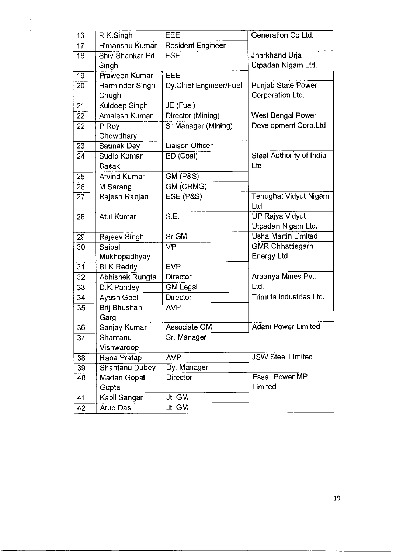| 16              | R.K.Singh             | EEE                    | Generation Co Ltd.           |
|-----------------|-----------------------|------------------------|------------------------------|
| 17              | Himanshu Kumar        | Resident Engineer      |                              |
| 18              | Shiv Shankar Pd.      | <b>ESE</b>             | Jharkhand Urja               |
|                 | Singh                 |                        | Utpadan Nigam Ltd.           |
| 19              | Praween Kumar         | EEE                    |                              |
| 20              | Harminder Singh       | Dy.Chief Engineer/Fuel | Punjab State Power           |
|                 | Chugh                 |                        | Corporation Ltd.             |
| 21              | Kuldeep Singh         | JE (Fuel)              |                              |
| 22              | Amalesh Kumar         | Director (Mining)      | <b>West Bengal Power</b>     |
| 22              | P Roy                 | Sr.Manager (Mining)    | Development Corp.Ltd         |
|                 | Chowdhary             |                        |                              |
| 23              | Saunak Dey            | Liaison Officer        |                              |
| 24              | Sudip Kumar           | ED (Coal)              | Steel Authority of India     |
|                 | <b>Basak</b>          |                        | Ltd.                         |
| 25              | <b>Arvind Kumar</b>   | <b>GM (P&amp;S)</b>    |                              |
| $\overline{26}$ | M.Sarang              | GM (CRMG)              |                              |
| 27              | Rajesh Ranjan         | ESE (P&S)              | <b>Tenughat Vidyut Nigam</b> |
|                 |                       |                        | Ltd.                         |
| 28              | Atul Kumar            | S.E.                   | UP Rajya Vidyut              |
|                 |                       |                        | Utpadan Nigam Ltd.           |
| 29              | Rajeev Singh          | Sr.GM                  | <b>Usha Martin Limited</b>   |
| $\overline{30}$ | Saibal                | <b>VP</b>              | <b>GMR Chhattisgarh</b>      |
|                 | Mukhopadhyay          |                        | Energy Ltd.                  |
| $\overline{31}$ | <b>BLK Reddy</b>      | <b>EVP</b>             |                              |
| 32              | Abhishek Rungta       | Director               | Araanya Mines Pvt.           |
| 33              | D.K.Pandey            | <b>GM Legal</b>        | Ltd.                         |
| 34              | Ayush Goel            | <b>Director</b>        | Trimula industries Ltd.      |
| 35              | Brij Bhushan          | <b>AVP</b>             |                              |
|                 | Garg                  |                        |                              |
| 36              | Sanjay Kumar          | <b>Associate GM</b>    | <b>Adani Power Limited</b>   |
| 37              | Shantanu              | Sr. Manager            |                              |
|                 | Vishwaroop            |                        |                              |
| 38              | Rana Pratap           | <b>AVP</b>             | <b>JSW Steel Limited</b>     |
| 39              | <b>Shantanu Dubey</b> | Dy. Manager            |                              |
| 40              | Madan Gopal           | <b>Director</b>        | <b>Essar Power MP</b>        |
|                 | Gupta                 |                        | Limited                      |
| 41              | Kapil Sangar          | Jt. GM                 |                              |
| 42              | Arup Das              | Jt. GM                 |                              |

 $\frac{1}{2}$  $\sim 10$ 

 $\hat{\mathcal{A}}$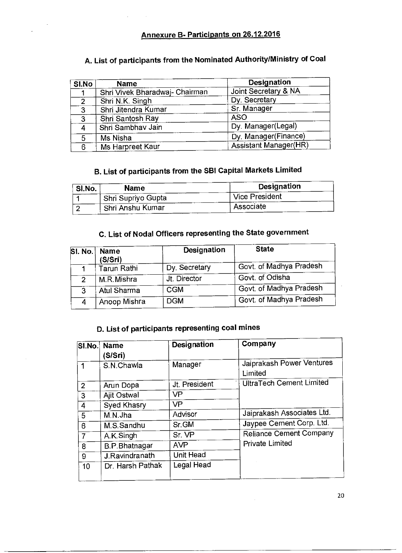### **Annexure B- Participants on 26.12.2016**

| SI.No          | <b>Name</b>                    | Designation                  |
|----------------|--------------------------------|------------------------------|
|                | Shri Vivek Bharadwaj- Chairman | Joint Secretary & NA         |
| $\overline{2}$ | Shri N.K. Singh                | Dy. Secretary                |
| 3              | Shri Jitendra Kumar            | Sr. Manager                  |
| 3              | Shri Santosh Ray               | <b>ASO</b>                   |
| 4              | Shri Sambhav Jain              | Dy. Manager(Legal)           |
| 5              | Ms Nisha                       | Dy. Manager(Finance)         |
| 6              | Ms Harpreet Kaur               | <b>Assistant Manager(HR)</b> |

## **A. List of participants from the Nominated Authority/Ministry of Coal**

## **B. List of participants from the SBI Capital Markets Limited**

| SI.No. | Name               | Designation    |
|--------|--------------------|----------------|
|        | Shri Supriyo Gupta | Vice President |
|        | Shri Anshu Kumar   | Associate      |

## **C. List of Nodal Officers representing the State government**

| SI. No. | <b>Name</b><br>(S/Sri) | <b>Designation</b> | <b>State</b>            |
|---------|------------------------|--------------------|-------------------------|
|         | <b>Tarun Rathi</b>     | Dy. Secretary      | Govt. of Madhya Pradesh |
| 2       | M.R.Mishra             | Jt. Director       | Govt. of Odisha         |
| 3       | Atul Sharma            | <b>CGM</b>         | Govt. of Madhya Pradesh |
|         | Anoop Mishra           | <b>DGM</b>         | Govt. of Madhya Pradesh |

## **D. List of participants representing coal mines**

|                | SI.No. Name<br>(S/Sri) | Designation   | Company                              |
|----------------|------------------------|---------------|--------------------------------------|
|                | S.N.Chawla             | Manager       | Jaiprakash Power Ventures<br>Limited |
| $\overline{2}$ | Arun Dopa              | Jt. President | <b>UltraTech Cement Limited</b>      |
| 3              | Ajit Ostwal            | <b>VP</b>     |                                      |
| 4              | Syed Khasry            | <b>VP</b>     |                                      |
| 5              | M.N.Jha                | Advisor       | Jaiprakash Associates Ltd.           |
| 6              | M.S. Sandhu            | Sr.GM         | Jaypee Cement Corp. Ltd.             |
|                | A.K.Singh              | Sr. VP        | <b>Reliance Cement Company</b>       |
| 8              | <b>B.P.Bhatnagar</b>   | <b>AVP</b>    | <b>Private Limited</b>               |
| 9              | J.Ravindranath         | Unit Head     |                                      |
| 10             | Dr. Harsh Pathak       | Legal Head    |                                      |